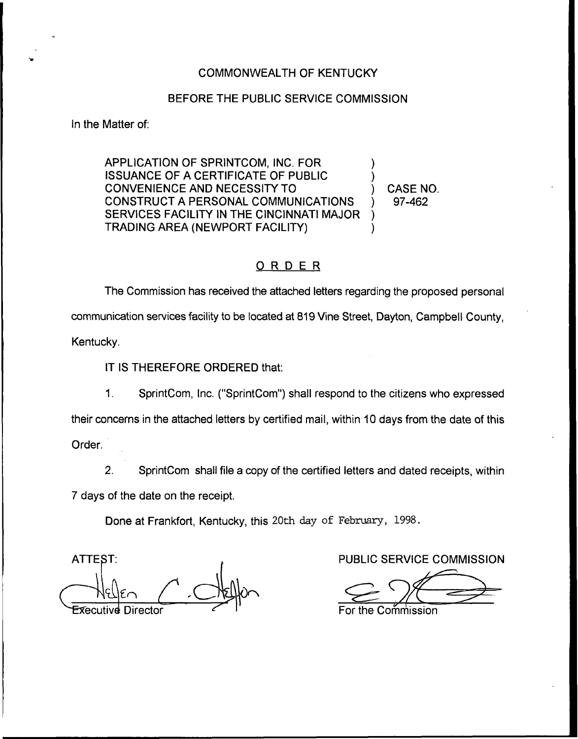## COMMONWEALTH OF KENTUCKY

## BEFORE THE PUBLIC SERVICE COMMISSION

In the Matter of:

APPLICATION OF SPRINTCOM, INC. FOR ISSUANCE OF A CERTIFICATE OF PUBLIC CONVENIENCE AND NECESSITY TO CONSTRUCT A PERSONAL COMMUNICATIONS SERVICES FACILITY IN THE CINCINNATI MAJOR TRADING AREA (NEWPORT FACILITY) ) ) ) CASE NO. ) 97-462 ) )

## ORDER

The Commission has received the attached letters regarding the proposed personal communication services facility to be located at 819Vine Street, Dayton, Campbell County, Kentucky.

IT IS THEREFORE ORDERED that:

 $1<sub>1</sub>$ SprintCom, Inc. ("SprintCom") shall respond to the citizens who expressed

their concerns in the attached letters by certified mail, within 10 days from the date of this

Order.

2. SprintCom shall file a copy of the certified letters and dated receipts, within

7 days of the date on the receipt.

Done at Frankfort, Kentucky, this 20th day of February, 1998.

**ATTEST:** 

PUBLIC SERVICE COMMISSION

For the Commission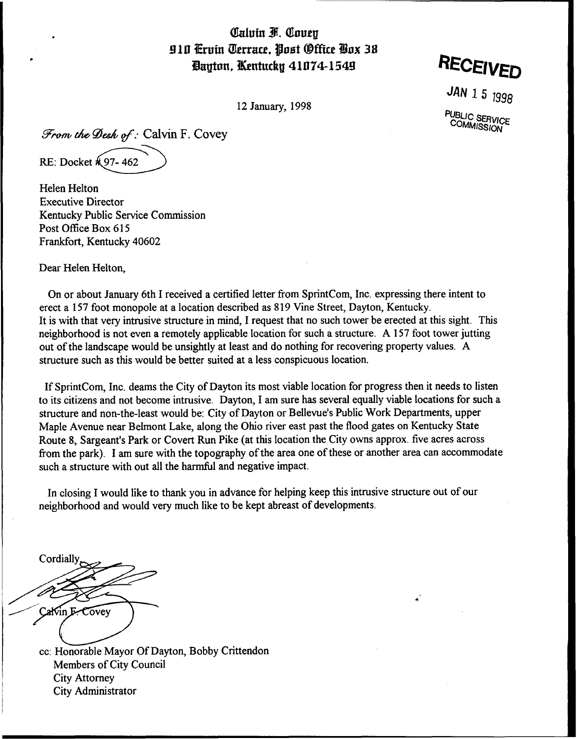Calvin F. Covey 910 %ruhr Kj.rrsce, Past tOffio.'gx 30 Bauton, Kentucky 41074-1549

RECEIVED

12 January, 1998

JAN 1 5 1998

PUBLIC SERVICE COMMISSION

From the Desh of : Calvin F. Covey RE: Docket **\*** 97-462

Helen Helton Executive Director Kentucky Public Service Commission Post Office Box 615 Frankfort, Kentucky 40602

Dear Helen Helton,

On or about January 6th I received a certified letter from SprintCom, Inc. expressing there intent to erect a 157 foot monopole at a location described as 819 Vine Street, Dayton, Kentucky. It is with that very intrusive structure in mind, I request that no such tower be erected at this sight. This neighborhood is not even a remotely applicable location for such a structure. A 157 foot tower jutting out of the landscape would be unsightly at least and do nothing for recovering property values. A structure such as this would be better suited at a less conspicuous location.

If SprintCom, Inc. deams the City of Dayton its most viable location for progress then it needs to listen to its citizens and not become intrusive. Dayton, I am sure has several equally viable locations for such a structure and non-the-least would be: City of Dayton or Bellevue's Public Work Departments, upper Maple Avenue near Belmont Lake, along the Ohio river east past the flood gates on Kentucky State Route 8, Sargeant's Park or Covert Run Pike (at this location the City owns approx. five acres across from the park). I am sure with the topography of the area one of these or another area can accommodate such a structure with out all the harmful and negative impact.

In closing I would like to thank you in advance for helping keep this intrusive structure out of our neighborhood and would very much like to be kept abreast of developments.

**Cordially** Calvin E-Covey

cc: Honorable Mayor Of Dayton, Bobby Crittendon Members of City Council City Attorney City Administrator